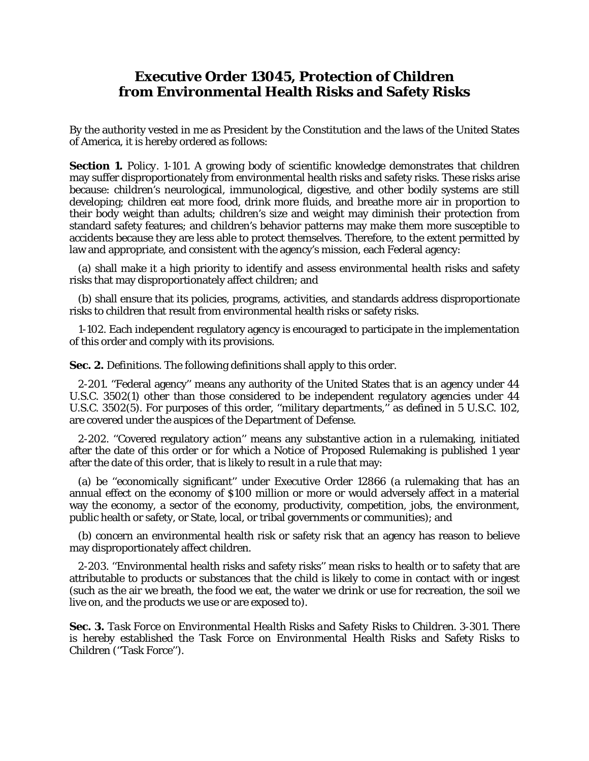## **Executive Order 13045, Protection of Children from Environmental Health Risks and Safety Risks**

By the authority vested in me as President by the Constitution and the laws of the United States of America, it is hereby ordered as follows:

**Section 1.** *Policy*. 1-101. A growing body of scientific knowledge demonstrates that children may suffer disproportionately from environmental health risks and safety risks. These risks arise because: children's neurological, immunological, digestive, and other bodily systems are still developing; children eat more food, drink more fluids, and breathe more air in proportion to their body weight than adults; children's size and weight may diminish their protection from standard safety features; and children's behavior patterns may make them more susceptible to accidents because they are less able to protect themselves. Therefore, to the extent permitted by law and appropriate, and consistent with the agency's mission, each Federal agency:

 (a) shall make it a high priority to identify and assess environmental health risks and safety risks that may disproportionately affect children; and

 (b) shall ensure that its policies, programs, activities, and standards address disproportionate risks to children that result from environmental health risks or safety risks.

 1-102. Each independent regulatory agency is encouraged to participate in the implementation of this order and comply with its provisions.

**Sec. 2.** *Definitions*. The following definitions shall apply to this order.

 2-201. ''Federal agency'' means any authority of the United States that is an agency under 44 U.S.C. 3502(1) other than those considered to be independent regulatory agencies under 44 U.S.C. 3502(5). For purposes of this order, ''military departments,'' as defined in 5 U.S.C. 102, are covered under the auspices of the Department of Defense.

 2-202. ''Covered regulatory action'' means any substantive action in a rulemaking, initiated after the date of this order or for which a Notice of Proposed Rulemaking is published 1 year after the date of this order, that is likely to result in a rule that may:

 (a) be ''economically significant'' under Executive Order 12866 (a rulemaking that has an annual effect on the economy of \$100 million or more or would adversely affect in a material way the economy, a sector of the economy, productivity, competition, jobs, the environment, public health or safety, or State, local, or tribal governments or communities); and

 (b) concern an environmental health risk or safety risk that an agency has reason to believe may disproportionately affect children.

 2-203. ''Environmental health risks and safety risks'' mean risks to health or to safety that are attributable to products or substances that the child is likely to come in contact with or ingest (such as the air we breath, the food we eat, the water we drink or use for recreation, the soil we live on, and the products we use or are exposed to).

**Sec. 3.** *Task Force on Environmental Health Risks and Safety Risks to Children*. 3-301. There is hereby established the Task Force on Environmental Health Risks and Safety Risks to Children (''Task Force'').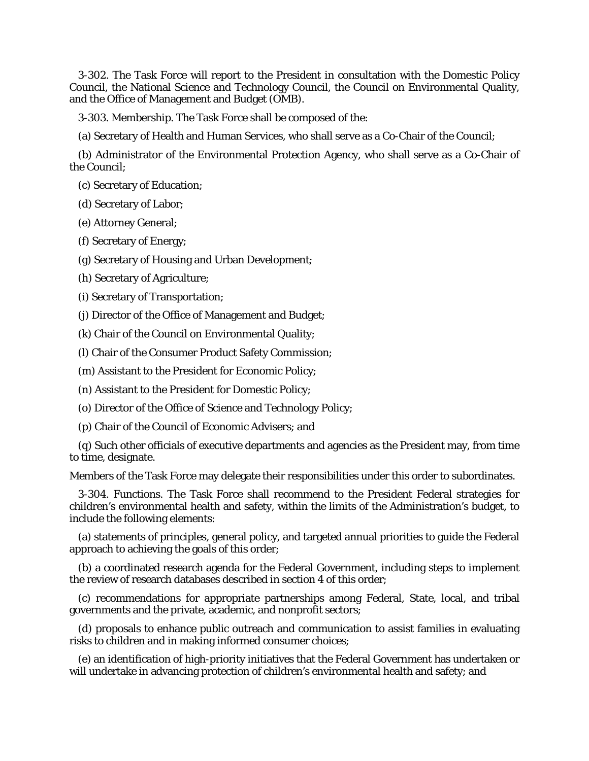3-302. The Task Force will report to the President in consultation with the Domestic Policy Council, the National Science and Technology Council, the Council on Environmental Quality, and the Office of Management and Budget (OMB).

3-303. Membership. The Task Force shall be composed of the:

(a) Secretary of Health and Human Services, who shall serve as a Co-Chair of the Council;

 (b) Administrator of the Environmental Protection Agency, who shall serve as a Co-Chair of the Council;

(c) Secretary of Education;

(d) Secretary of Labor;

(e) Attorney General;

(f) Secretary of Energy;

(g) Secretary of Housing and Urban Development;

(h) Secretary of Agriculture;

(i) Secretary of Transportation;

(j) Director of the Office of Management and Budget;

(k) Chair of the Council on Environmental Quality;

(l) Chair of the Consumer Product Safety Commission;

(m) Assistant to the President for Economic Policy;

(n) Assistant to the President for Domestic Policy;

(o) Director of the Office of Science and Technology Policy;

(p) Chair of the Council of Economic Advisers; and

 (q) Such other officials of executive departments and agencies as the President may, from time to time, designate.

Members of the Task Force may delegate their responsibilities under this order to subordinates.

 3-304. Functions. The Task Force shall recommend to the President Federal strategies for children's environmental health and safety, within the limits of the Administration's budget, to include the following elements:

 (a) statements of principles, general policy, and targeted annual priorities to guide the Federal approach to achieving the goals of this order;

 (b) a coordinated research agenda for the Federal Government, including steps to implement the review of research databases described in section 4 of this order;

 (c) recommendations for appropriate partnerships among Federal, State, local, and tribal governments and the private, academic, and nonprofit sectors;

 (d) proposals to enhance public outreach and communication to assist families in evaluating risks to children and in making informed consumer choices;

 (e) an identification of high-priority initiatives that the Federal Government has undertaken or will undertake in advancing protection of children's environmental health and safety; and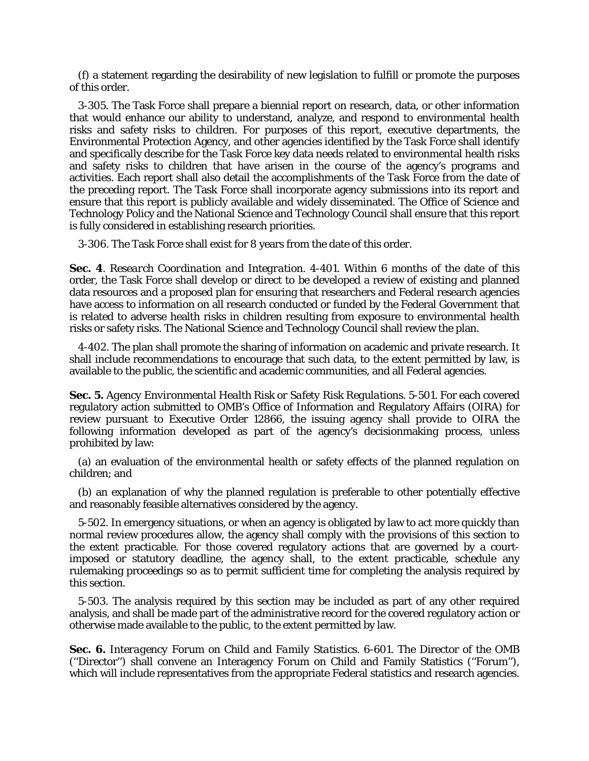(f) a statement regarding the desirability of new legislation to fulfill or promote the purposes of this order.

 3-305. The Task Force shall prepare a biennial report on research, data, or other information that would enhance our ability to understand, analyze, and respond to environmental health risks and safety risks to children. For purposes of this report, executive departments, the Environmental Protection Agency, and other agencies identified by the Task Force shall identify and specifically describe for the Task Force key data needs related to environmental health risks and safety risks to children that have arisen in the course of the agency's programs and activities. Each report shall also detail the accomplishments of the Task Force from the date of the preceding report. The Task Force shall incorporate agency submissions into its report and ensure that this report is publicly available and widely disseminated. The Office of Science and Technology Policy and the National Science and Technology Council shall ensure that this report is fully considered in establishing research priorities.

3-306. The Task Force shall exist for 8 years from the date of this order.

**Sec. 4**. *Research Coordination and Integration*. 4-401. Within 6 months of the date of this order, the Task Force shall develop or direct to be developed a review of existing and planned data resources and a proposed plan for ensuring that researchers and Federal research agencies have access to information on all research conducted or funded by the Federal Government that is related to adverse health risks in children resulting from exposure to environmental health risks or safety risks. The National Science and Technology Council shall review the plan.

 4-402. The plan shall promote the sharing of information on academic and private research. It shall include recommendations to encourage that such data, to the extent permitted by law, is available to the public, the scientific and academic communities, and all Federal agencies.

**Sec. 5.** *Agency Environmental Health Risk or Safety Risk Regulations*. 5-501. For each covered regulatory action submitted to OMB's Office of Information and Regulatory Affairs (OIRA) for review pursuant to Executive Order 12866, the issuing agency shall provide to OIRA the following information developed as part of the agency's decisionmaking process, unless prohibited by law:

 (a) an evaluation of the environmental health or safety effects of the planned regulation on children; and

 (b) an explanation of why the planned regulation is preferable to other potentially effective and reasonably feasible alternatives considered by the agency.

 5-502. In emergency situations, or when an agency is obligated by law to act more quickly than normal review procedures allow, the agency shall comply with the provisions of this section to the extent practicable. For those covered regulatory actions that are governed by a courtimposed or statutory deadline, the agency shall, to the extent practicable, schedule any rulemaking proceedings so as to permit sufficient time for completing the analysis required by this section.

 5-503. The analysis required by this section may be included as part of any other required analysis, and shall be made part of the administrative record for the covered regulatory action or otherwise made available to the public, to the extent permitted by law.

**Sec. 6.** *Interagency Forum on Child and Family Statistics*. 6-601. The Director of the OMB (''Director'') shall convene an Interagency Forum on Child and Family Statistics (''Forum''), which will include representatives from the appropriate Federal statistics and research agencies.